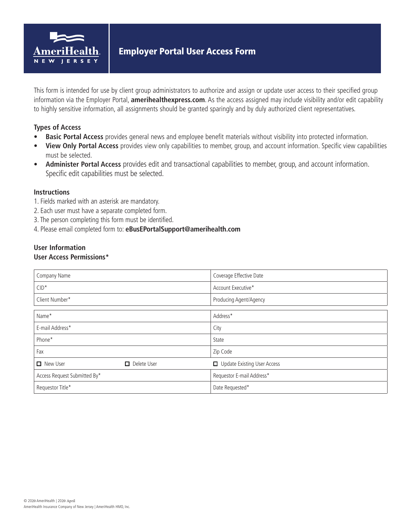

This form is intended for use by client group administrators to authorize and assign or update user access to their specified group information via the Employer Portal, **amerihealthexpress.com**. As the access assigned may include visibility and/or edit capability to highly sensitive information, all assignments should be granted sparingly and by duly authorized client representatives.

# **Types of Access**

- **• Basic Portal Access** provides general news and employee benefit materials without visibility into protected information.
- **• View Only Portal Access** provides view only capabilities to member, group, and account information. Specific view capabilities must be selected.
- **• Administer Portal Access** provides edit and transactional capabilities to member, group, and account information. Specific edit capabilities must be selected.

## **Instructions**

- 1. Fields marked with an asterisk are mandatory.
- 2. Each user must have a separate completed form.
- 3. The person completing this form must be identified.
- 4. Please email completed form to: **eBusEPortalSupport@amerihealth.com**

# **User Information**

#### **User Access Permissions\***

| Company Name                 |                    | Coverage Effective Date            |  |  |
|------------------------------|--------------------|------------------------------------|--|--|
| $CID^*$                      |                    | Account Executive*                 |  |  |
| Client Number*               |                    | Producing Agent/Agency             |  |  |
|                              |                    |                                    |  |  |
| Name*                        |                    | Address*                           |  |  |
| E-mail Address*              |                    | City                               |  |  |
| Phone*                       |                    | State                              |  |  |
| Fax                          |                    | Zip Code                           |  |  |
| <b>New User</b>              | $\Box$ Delete User | <b>Update Existing User Access</b> |  |  |
| Access Request Submitted By* |                    | Requestor E-mail Address*          |  |  |
| Requestor Title*             |                    | Date Requested*                    |  |  |